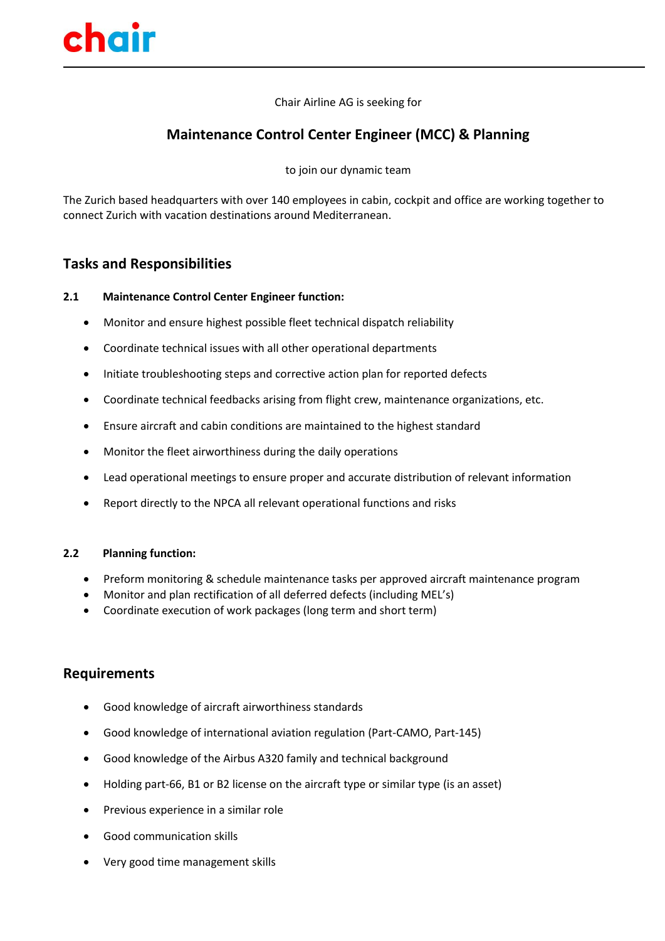

Chair Airline AG is seeking for

# **Maintenance Control Center Engineer (MCC) & Planning**

to join our dynamic team

The Zurich based headquarters with over 140 employees in cabin, cockpit and office are working together to connect Zurich with vacation destinations around Mediterranean.

## **Tasks and Responsibilities**

#### **2.1 Maintenance Control Center Engineer function:**

- Monitor and ensure highest possible fleet technical dispatch reliability
- Coordinate technical issues with all other operational departments
- Initiate troubleshooting steps and corrective action plan for reported defects
- Coordinate technical feedbacks arising from flight crew, maintenance organizations, etc.
- Ensure aircraft and cabin conditions are maintained to the highest standard
- Monitor the fleet airworthiness during the daily operations
- Lead operational meetings to ensure proper and accurate distribution of relevant information
- Report directly to the NPCA all relevant operational functions and risks

#### **2.2 Planning function:**

- Preform monitoring & schedule maintenance tasks per approved aircraft maintenance program
- Monitor and plan rectification of all deferred defects (including MEL's)
- Coordinate execution of work packages (long term and short term)

### **Requirements**

- Good knowledge of aircraft airworthiness standards
- Good knowledge of international aviation regulation (Part-CAMO, Part-145)
- Good knowledge of the Airbus A320 family and technical background
- Holding part-66, B1 or B2 license on the aircraft type or similar type (is an asset)
- Previous experience in a similar role
- Good communication skills
- Very good time management skills